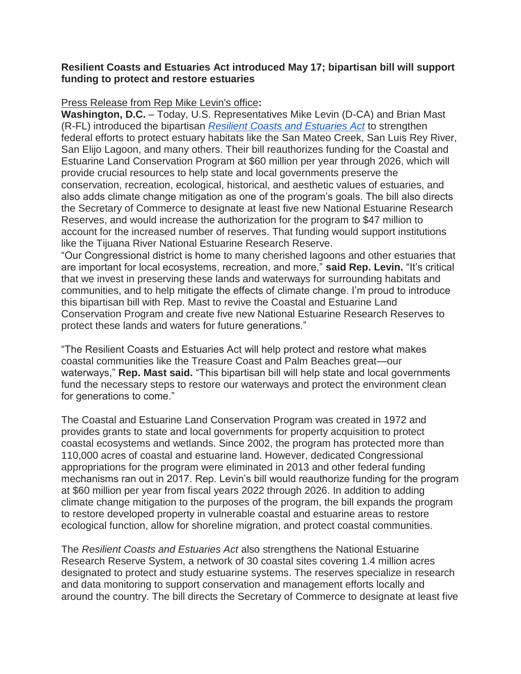## **Resilient Coasts and Estuaries Act introduced May 17; bipartisan bill will support funding to protect and restore estuaries**

## Press Release from Rep Mike Levin's office**:**

**Washington, D.C.** – Today, U.S. Representatives Mike Levin (D-CA) and Brian Mast (R-FL) introduced the bipartisan *[Resilient Coasts and Estuaries Act](https://mikelevin.house.gov/imo/media/doc/Resilient%20Coasts%20and%20Estuaries%20Act.pdf)* to strengthen federal efforts to protect estuary habitats like the San Mateo Creek, San Luis Rey River, San Elijo Lagoon, and many others. Their bill reauthorizes funding for the Coastal and Estuarine Land Conservation Program at \$60 million per year through 2026, which will provide crucial resources to help state and local governments preserve the conservation, recreation, ecological, historical, and aesthetic values of estuaries, and also adds climate change mitigation as one of the program's goals. The bill also directs the Secretary of Commerce to designate at least five new National Estuarine Research Reserves, and would increase the authorization for the program to \$47 million to account for the increased number of reserves. That funding would support institutions like the Tijuana River National Estuarine Research Reserve.

―Our Congressional district is home to many cherished lagoons and other estuaries that are important for local ecosystems, recreation, and more," **said Rep. Levin.** "It's critical that we invest in preserving these lands and waterways for surrounding habitats and communities, and to help mitigate the effects of climate change. I'm proud to introduce this bipartisan bill with Rep. Mast to revive the Coastal and Estuarine Land Conservation Program and create five new National Estuarine Research Reserves to protect these lands and waters for future generations.‖

―The Resilient Coasts and Estuaries Act will help protect and restore what makes coastal communities like the Treasure Coast and Palm Beaches great—our waterways," **Rep. Mast said.** "This bipartisan bill will help state and local governments fund the necessary steps to restore our waterways and protect the environment clean for generations to come."

The Coastal and Estuarine Land Conservation Program was created in 1972 and provides grants to state and local governments for property acquisition to protect coastal ecosystems and wetlands. Since 2002, the program has protected more than 110,000 acres of coastal and estuarine land. However, dedicated Congressional appropriations for the program were eliminated in 2013 and other federal funding mechanisms ran out in 2017. Rep. Levin's bill would reauthorize funding for the program at \$60 million per year from fiscal years 2022 through 2026. In addition to adding climate change mitigation to the purposes of the program, the bill expands the program to restore developed property in vulnerable coastal and estuarine areas to restore ecological function, allow for shoreline migration, and protect coastal communities.

The *Resilient Coasts and Estuaries Act* also strengthens the National Estuarine Research Reserve System, a network of 30 coastal sites covering 1.4 million acres designated to protect and study estuarine systems. The reserves specialize in research and data monitoring to support conservation and management efforts locally and around the country. The bill directs the Secretary of Commerce to designate at least five